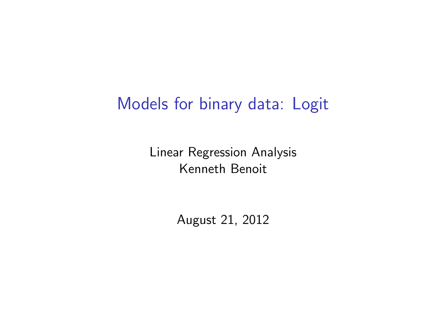## Models for binary data: Logit

Linear Regression Analysis Kenneth Benoit

August 21, 2012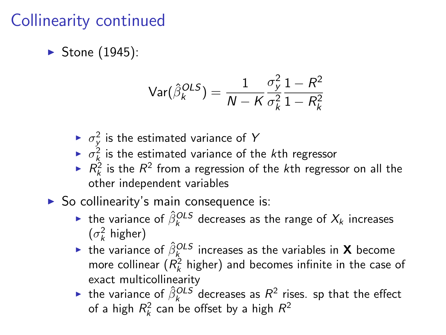#### Collinearity continued

 $\blacktriangleright$  Stone (1945):

$$
\text{Var}(\hat{\beta}_k^{OLS}) = \frac{1}{N - K} \frac{\sigma_y^2}{\sigma_k^2} \frac{1 - R^2}{1 - R_k^2}
$$

- $\blacktriangleright$   $\sigma_y^2$  is the estimated variance of Y
- $\blacktriangleright$   $\sigma_k^2$  is the estimated variance of the kth regressor
- $\blacktriangleright$   $R_k^2$  is the  $R^2$  from a regression of the kth regressor on all the other independent variables
- $\triangleright$  So collinearity's main consequence is:
	- ► the variance of  $\hat{\beta}_k^{OLS}$  decreases as the range of  $X_k$  increases  $(\sigma_k^2 \text{ higher})$
	- $\blacktriangleright$  the variance of  $\hat{\beta}^{OLS}_{\mathsf{K}}$  increases as the variables in  $\mathsf X$  become more collinear  $(R_k^2$  higher) and becomes infinite in the case of exact multicollinearity
	- ► the variance of  $\hat{\beta}_k^{OLS}$  decreases as  $R^2$  rises. sp that the effect of a high  $R_k^2$  can be offset by a high  $R^2$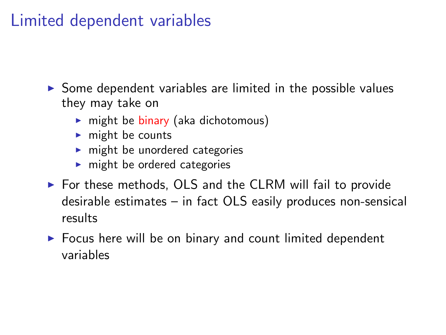#### Limited dependent variables

 $\triangleright$  Some dependent variables are limited in the possible values they may take on

- $\triangleright$  might be binary (aka dichotomous)
- $\blacktriangleright$  might be counts
- $\blacktriangleright$  might be unordered categories
- $\blacktriangleright$  might be ordered categories
- $\triangleright$  For these methods, OLS and the CLRM will fail to provide desirable estimates – in fact OLS easily produces non-sensical results
- $\triangleright$  Focus here will be on binary and count limited dependent variables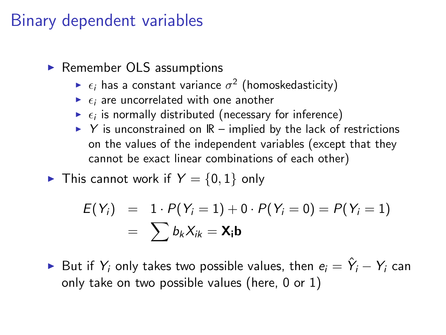#### Binary dependent variables

#### $\blacktriangleright$  Remember OLS assumptions

- $\blacktriangleright$   $\epsilon_i$  has a constant variance  $\sigma^2$  (homoskedasticity)
- $\blacktriangleright$   $\epsilon_i$  are uncorrelated with one another
- $\blacktriangleright$   $\epsilon_i$  is normally distributed (necessary for inference)
- $\triangleright$  Y is unconstrained on  $\mathbb{R}$  implied by the lack of restrictions on the values of the independent variables (except that they cannot be exact linear combinations of each other)

► This cannot work if 
$$
Y = \{0, 1\}
$$
 only

$$
E(Y_i) = 1 \cdot P(Y_i = 1) + 0 \cdot P(Y_i = 0) = P(Y_i = 1) = \sum b_k X_{ik} = \mathbf{X_i} \mathbf{b}
$$

► But if  $Y_i$  only takes two possible values, then  $e_i = \hat{Y}_i - Y_i$  can only take on two possible values (here, 0 or 1)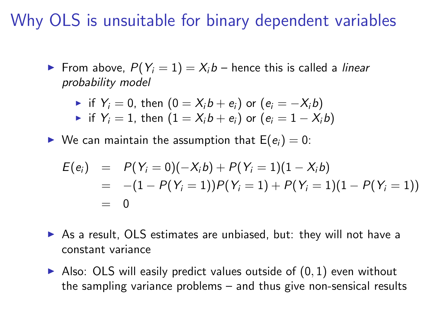#### Why OLS is unsuitable for binary dependent variables

From above,  $P(Y_i = 1) = X_i b$  – hence this is called a *linear* probability model

• if 
$$
Y_i = 0
$$
, then  $(0 = X_i b + e_i)$  or  $(e_i = -X_i b)$ 

• if 
$$
Y_i = 1
$$
, then  $(1 = X_i b + e_i)$  or  $(e_i = 1 - X_i b)$ 

 $\triangleright$  We can maintain the assumption that  $E(e_i) = 0$ :

$$
E(e_i) = P(Y_i = 0)(-X_i b) + P(Y_i = 1)(1 - X_i b) = -(1 - P(Y_i = 1))P(Y_i = 1) + P(Y_i = 1)(1 - P(Y_i = 1)) = 0
$$

- $\triangleright$  As a result, OLS estimates are unbiased, but: they will not have a constant variance
- Also: OLS will easily predict values outside of  $(0, 1)$  even without the sampling variance problems – and thus give non-sensical results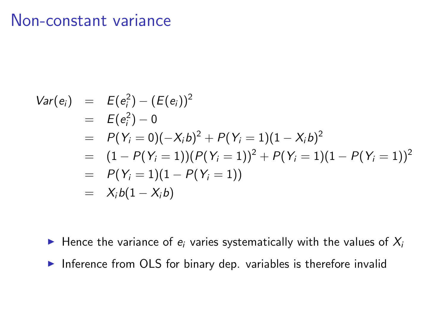#### Non-constant variance

$$
Var(e_i) = E(e_i^2) - (E(e_i))^2
$$
  
=  $E(e_i^2) - 0$   
=  $P(Y_i = 0)(-X_i b)^2 + P(Y_i = 1)(1 - X_i b)^2$   
=  $(1 - P(Y_i = 1))(P(Y_i = 1))^2 + P(Y_i = 1)(1 - P(Y_i = 1))^2$   
=  $P(Y_i = 1)(1 - P(Y_i = 1))$   
=  $X_i b(1 - X_i b)$ 

- Hence the variance of  $e_i$  varies systematically with the values of  $X_i$
- Inference from OLS for binary dep. variables is therefore invalid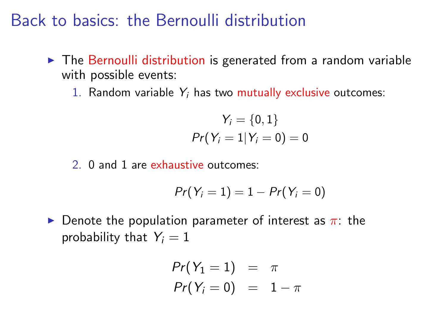Back to basics: the Bernoulli distribution

- $\triangleright$  The Bernoulli distribution is generated from a random variable with possible events:
	- 1. Random variable  $Y_i$  has two mutually exclusive outcomes:

$$
Y_i = \{0, 1\}
$$
  
Pr(Y<sub>i</sub> = 1 | Y<sub>i</sub> = 0) = 0

2. 0 and 1 are exhaustive outcomes:

$$
Pr(Y_i=1)=1-Pr(Y_i=0)
$$

**Denote the population parameter of interest as**  $\pi$ **: the** probability that  $Y_i = 1$ 

$$
Pr(Y_1 = 1) = \pi
$$
  

$$
Pr(Y_i = 0) = 1 - \pi
$$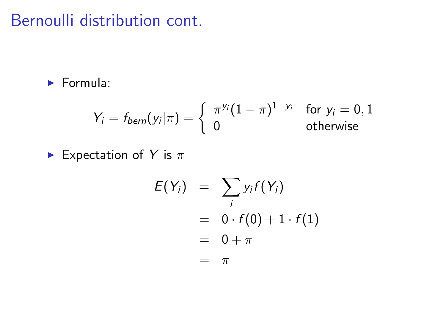#### Bernoulli distribution cont.

 $\blacktriangleright$  Formula:

$$
Y_i = f_{bern}(y_i|\pi) = \begin{cases} \pi^{y_i}(1-\pi)^{1-y_i} & \text{for } y_i = 0, 1 \\ 0 & \text{otherwise} \end{cases}
$$

**Expectation of Y** is  $\pi$ 

$$
E(Y_i) = \sum_i y_i f(Y_i)
$$
  
= 0 \cdot f(0) + 1 \cdot f(1)  
= 0 + \pi  
= \pi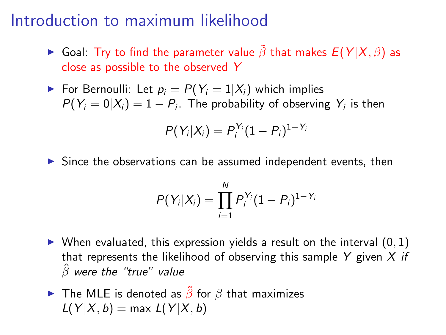#### Introduction to maximum likelihood

- ► Goal: Try to find the parameter value  $\tilde{\beta}$  that makes  $E(Y|X,\beta)$  as close as possible to the observed Y
- For Bernoulli: Let  $p_i = P(Y_i = 1 | X_i)$  which implies  $P(Y_i=0|X_i)=1-P_i$ . The probability of observing  $Y_i$  is then

$$
P(Y_i|X_i) = P_i^{Y_i}(1-P_i)^{1-Y_i}
$$

 $\triangleright$  Since the observations can be assumed independent events, then

$$
P(Y_i|X_i) = \prod_{i=1}^N P_i^{Y_i} (1 - P_i)^{1 - Y_i}
$$

- $\triangleright$  When evaluated, this expression yields a result on the interval  $(0, 1)$ that represents the likelihood of observing this sample Y given  $X$  if  $\hat{\beta}$  were the "true" value
- **►** The MLE is denoted as  $\tilde{\beta}$  for  $\beta$  that maximizes  $L(Y|X, b) = \max L(Y|X, b)$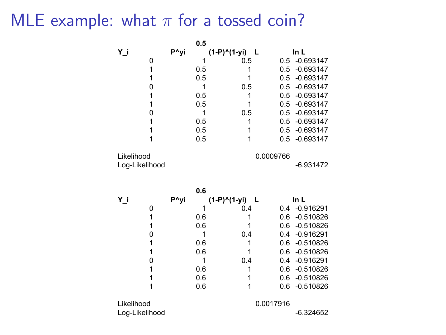### MLE example: what  $\pi$  for a tossed coin?

|                |      | 0.5 |                   |     |               |
|----------------|------|-----|-------------------|-----|---------------|
| Υj             | P^yi |     | (1-P)^(1-yi)<br>L |     | In L          |
| $\mathbf 0$    |      | 1   | 0.5               |     | 0.5 -0.693147 |
| $\mathbf{1}$   |      | 0.5 | 1                 | 0.5 | $-0.693147$   |
| $\mathbf{1}$   |      | 0.5 | 1                 | 0.5 | $-0.693147$   |
| 0              |      | 1   | 0.5               | 0.5 | $-0.693147$   |
| $\mathbf{1}$   |      | 0.5 | 1                 | 0.5 | $-0.693147$   |
| 1              |      | 0.5 | 1                 | 0.5 | $-0.693147$   |
| 0              |      | 1   | 0.5               | 0.5 | $-0.693147$   |
| 1              |      | 0.5 | 1                 | 0.5 | $-0.693147$   |
| 1              |      | 0.5 | 1                 | 0.5 | $-0.693147$   |
| 1              |      | 0.5 | 1                 | 0.5 | $-0.693147$   |
| Likelihood     |      |     | 0.0009766         |     |               |
| Log-Likelihood |      |     |                   |     | $-6.931472$   |
|                |      | 0.6 |                   |     |               |
| Υi             | P^yi |     | (1-P)^(1-yi)<br>L |     | In L          |
| 0              |      | 1   | 0.4               |     | 0.4 -0.916291 |
| $\mathbf{1}$   |      | 0.6 | 1                 |     | 0.6 -0.510826 |
| 1              |      | 0.6 | 1                 | 0.6 | $-0.510826$   |
| $\mathbf 0$    |      | 1   | 0.4               |     | 0.4 -0.916291 |
| 1              |      | 0.6 | 1                 |     | 0.6 -0.510826 |
| $\overline{1}$ |      | 0.6 | 1                 | 0.6 | $-0.510826$   |
| 0              |      | 1   | 0.4               | 0.4 | $-0.916291$   |
| 1              |      | 0.6 | 1                 | 0.6 | $-0.510826$   |
| 1              |      | 0.6 | 1                 | 0.6 | $-0.510826$   |
| 1              |      | 0.6 | 1                 | 0.6 | $-0.510826$   |
| Likelihood     |      |     | 0.0017916         |     |               |
| Log-Likelihood |      |     |                   |     | $-6.324652$   |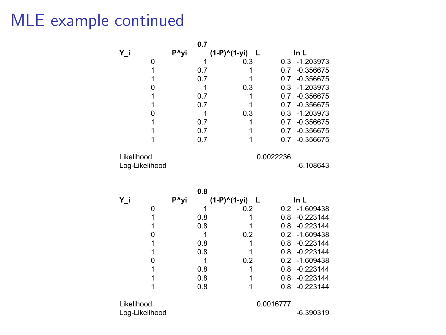## MLE example continued

|                |      | 0.7 |                   |           |               |
|----------------|------|-----|-------------------|-----------|---------------|
| Y_i            | P^yi |     | (1-P)^(1-yi)<br>L |           | ln L          |
| 0              |      | 1   | 0.3               | 0.3       | $-1.203973$   |
| 1              |      | 0.7 | 1                 | 0.7       | $-0.356675$   |
| 1              |      | 0.7 | 1                 | 0.7       | $-0.356675$   |
| 0              |      | 1   | 0.3               | 0.3       | $-1.203973$   |
| 1              |      | 0.7 | 1                 | 0.7       | $-0.356675$   |
| 1              |      | 0.7 | 1                 | 0.7       | $-0.356675$   |
| 0              |      | 1   | 0.3               | 0.3       | $-1.203973$   |
| 1              |      | 0.7 | 1                 | 0.7       | $-0.356675$   |
| 1              |      | 0.7 | 1                 | 0.7       | $-0.356675$   |
| 1              |      | 0.7 | 1                 | 0.7       | $-0.356675$   |
| Likelihood     |      |     |                   | 0.0022236 |               |
| Log-Likelihood |      |     |                   |           | $-6.108643$   |
|                |      |     |                   |           |               |
|                |      | 0.8 |                   |           |               |
| Υi             | P^yi |     | (1-P)^(1-yi)<br>L |           | ln L          |
| 0              |      | 1   | 0.2               |           | 0.2 -1.609438 |
| 1              |      | 0.8 | 1                 |           | 0.8 -0.223144 |
| 1              |      | 0.8 | 1                 | 0.8       | $-0.223144$   |
| 0              |      | 1   | 0.2               | 0.2       | $-1.609438$   |
| 1              |      | 0.8 | 1                 | 0.8       | $-0.223144$   |
| 1              |      | 0.8 | 1                 | 0.8       | $-0.223144$   |
| 0              |      | 1   | 0.2               | 0.2       | $-1.609438$   |
| 1              |      | 0.8 | 1                 | 0.8       | $-0.223144$   |
| 1              |      | 0.8 | 1                 | 0.8       | $-0.223144$   |
| 1              |      | 0.8 | 1                 | 0.8       | $-0.223144$   |
| Likelihood     |      |     |                   | 0.0016777 |               |
| Log-Likelihood |      |     |                   |           | $-6.390319$   |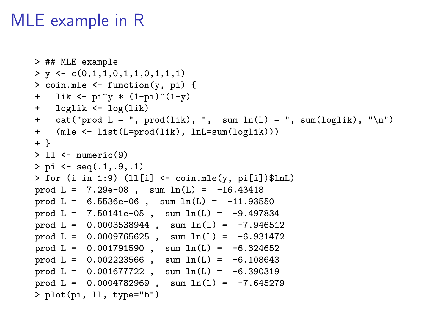#### MLE example in R

```
> ## MLE example
> y \leftarrow c(0,1,1,0,1,1,0,1,1,1)> coin.mle <- function(y, pi) {
+ lik <- pi^* (1-pi)^-(1-y)+ loglik <- log(lik)
+ cat("prod L = ", prod(lik), ", sum ln(L) = ", sum(loglik), "\n")
+ (mle <- list(L=prod(lik), lnL=sum(loglik)))
+ }
> 11 <- numeric(9)
> pi \leq -seq(.1, .9, .1)> for (i in 1:9) (ll[i] \leftarrow coin.mle(y, pi[i])$lnL)
prod L = 7.29e-08, sum ln(L) = -16.43418prod L = 6.5536e-06, sum ln(L) = -11.93550prod L = 7.50141e-05, sum ln(L) = -9.497834prod L = 0.0003538944, sum ln(L) = -7.946512prod L = 0.0009765625, sum ln(L) = -6.931472prod L = 0.001791590, sum ln(L) = -6.324652prod L = 0.002223566, sum ln(L) = -6.108643prod L = 0.001677722, sum ln(L) = -6.390319prod L = 0.0004782969, sum ln(L) = -7.645279> plot(pi, ll, type="b")
```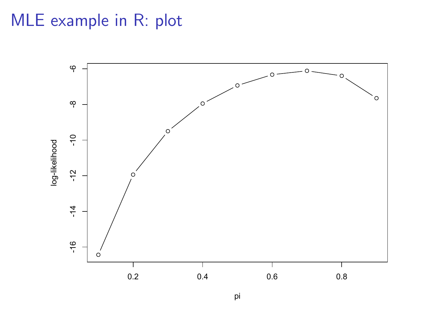#### MLE example in R: plot

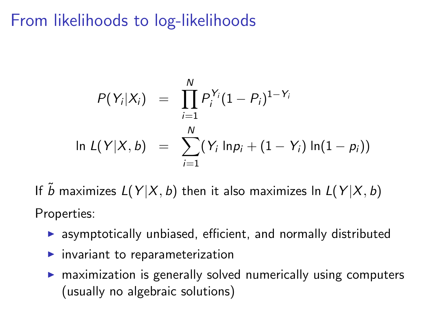## From likelihoods to log-likelihoods

$$
P(Y_i|X_i) = \prod_{i=1}^{N} P_i^{Y_i} (1 - P_i)^{1 - Y_i}
$$
  
\n
$$
\ln L(Y|X, b) = \sum_{i=1}^{N} (Y_i \ln p_i + (1 - Y_i) \ln(1 - p_i))
$$

If  $\tilde{b}$  maximizes  $L(Y | X, b)$  then it also maximizes ln  $L(Y | X, b)$ Properties:

- $\triangleright$  asymptotically unbiased, efficient, and normally distributed
- $\blacktriangleright$  invariant to reparameterization
- $\triangleright$  maximization is generally solved numerically using computers (usually no algebraic solutions)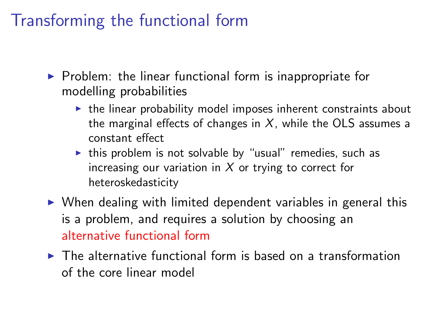## Transforming the functional form

- $\triangleright$  Problem: the linear functional form is inappropriate for modelling probabilities
	- $\triangleright$  the linear probability model imposes inherent constraints about the marginal effects of changes in  $X$ , while the OLS assumes a constant effect
	- $\triangleright$  this problem is not solvable by "usual" remedies, such as increasing our variation in  $X$  or trying to correct for heteroskedasticity
- $\triangleright$  When dealing with limited dependent variables in general this is a problem, and requires a solution by choosing an alternative functional form
- $\triangleright$  The alternative functional form is based on a transformation of the core linear model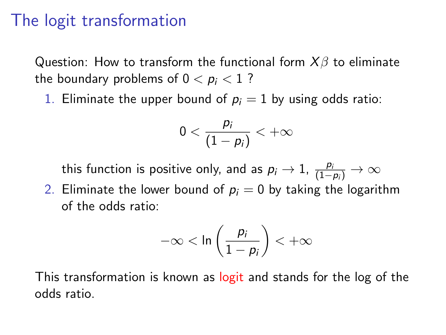#### The logit transformation

Question: How to transform the functional form  $X\beta$  to eliminate the boundary problems of  $0 < p_i < 1$ ?

1. Eliminate the upper bound of  $p_i = 1$  by using odds ratio:

$$
0<\frac{p_i}{(1-p_i)}<+\infty
$$

this function is positive only, and as  $p_i \rightarrow 1$ ,  $\frac{p_i}{(1-p_i)} \rightarrow \infty$ 

2. Eliminate the lower bound of  $p_i = 0$  by taking the logarithm of the odds ratio:

$$
-\infty < \ln\left(\frac{p_i}{1-p_i}\right) < +\infty
$$

This transformation is known as logit and stands for the log of the odds ratio.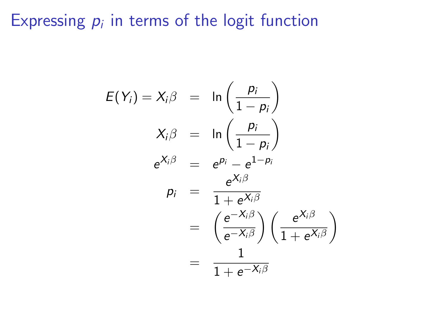### Expressing  $p_i$  in terms of the logit function

$$
E(Y_i) = X_i \beta = \ln \left( \frac{p_i}{1 - p_i} \right)
$$
  
\n
$$
X_i \beta = \ln \left( \frac{p_i}{1 - p_i} \right)
$$
  
\n
$$
e^{X_i \beta} = e^{p_i} - e^{1 - p_i}
$$
  
\n
$$
p_i = \frac{e^{X_i \beta}}{1 + e^{X_i \beta}}
$$
  
\n
$$
= \left( \frac{e^{-X_i \beta}}{e^{-X_i \beta}} \right) \left( \frac{e^{X_i \beta}}{1 + e^{X_i \beta}} \right)
$$
  
\n
$$
= \frac{1}{1 + e^{-X_i \beta}}
$$

 $\setminus$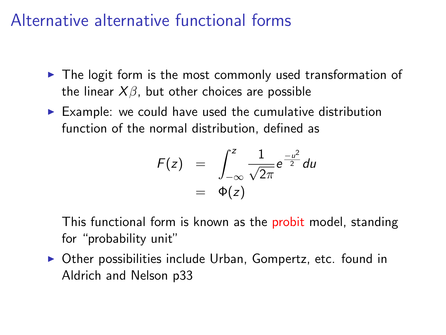#### Alternative alternative functional forms

- $\blacktriangleright$  The logit form is the most commonly used transformation of the linear  $X\beta$ , but other choices are possible
- $\triangleright$  Example: we could have used the cumulative distribution function of the normal distribution, defined as

$$
F(z) = \int_{-\infty}^{z} \frac{1}{\sqrt{2\pi}} e^{\frac{-u^2}{2}} du
$$
  
=  $\Phi(z)$ 

This functional form is known as the probit model, standing for "probability unit"

 $\triangleright$  Other possibilities include Urban, Gompertz, etc. found in Aldrich and Nelson p33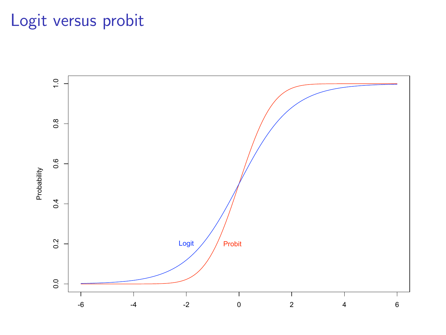## Logit versus probit

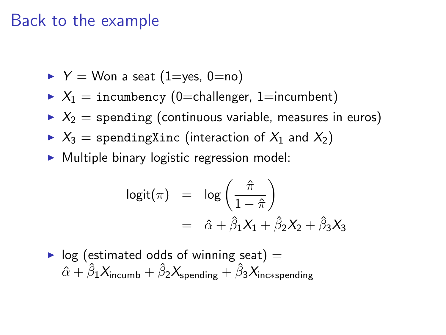#### Back to the example

$$
\blacktriangleright Y = \text{Won a seat (1=yes, 0=no)}
$$

- $X_1$  = incumbency (0=challenger, 1=incumbent)
- $\triangleright$   $X_2$  = spending (continuous variable, measures in euros)
- $\triangleright$   $X_3$  = spendingXinc (interaction of  $X_1$  and  $X_2$ )
- $\triangleright$  Multiple binary logistic regression model:

$$
logit(\pi) = log\left(\frac{\hat{\pi}}{1-\hat{\pi}}\right)
$$
  
=  $\hat{\alpha} + \hat{\beta}_1 X_1 + \hat{\beta}_2 X_2 + \hat{\beta}_3 X_3$ 

 $\triangleright$  log (estimated odds of winning seat) =  $\hat{\alpha} + \hat{\beta}_1 X_{\text{incumb}} + \hat{\beta}_2 X_{\text{spending}} + \hat{\beta}_3 X_{\text{inc} * \text{spending}}$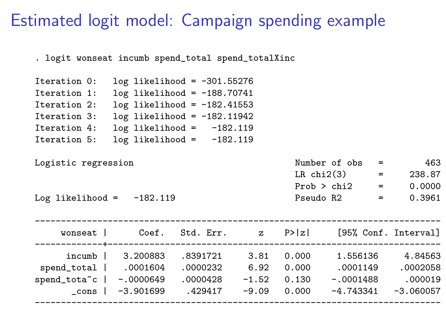#### Estimated logit model: Campaign spending example

. logit wonseat incumb spend\_total spend\_totalXinc

| Iteration 0: |  | $log$ likelihood = -301.55276   |            |
|--------------|--|---------------------------------|------------|
| Iteration 1: |  | $log$ likelihood = $-188.70741$ |            |
| Iteration 2: |  | $log$ likelihood = $-182.41553$ |            |
| Iteration 3: |  | $log$ likelihood = $-182.11942$ |            |
| Iteration 4: |  | $log$ likelihood =              | $-182.119$ |
| Iteration 5: |  | $log$ likelihood =              | $-182.119$ |

| Logistic regression         | Number of obs = |                                      | 463    |
|-----------------------------|-----------------|--------------------------------------|--------|
|                             | LRchi(3)        | <b>Service Contract Contract</b>     | 238.87 |
|                             | Prob > chi2     | $\mathbf{r} = \mathbf{r} \mathbf{r}$ | 0.0000 |
| Log likelihood = $-182.119$ | Pseudo R2       | $=$                                  | 0.3961 |

| wonseat      | Coef.       | Std. Err. | $\mathbf{z}$ | P>  z | [95% Conf. Interval] |             |
|--------------|-------------|-----------|--------------|-------|----------------------|-------------|
| incumb       | 3.200883    | .8391721  | 3.81         | 0.000 | 1.556136             | 4.84563     |
| spend_total  | .0001604    | .0000232  | 6.92         | 0.000 | .0001149             | .0002058    |
| spend_tota~c | $-.0000649$ | .0000428  | $-1.52$      | 0.130 | $-.0001488$          | .000019     |
| cons         | $-3.901699$ | .429417   | $-9.09$      | 0.000 | $-4.743341$          | $-3.060057$ |
|              |             |           |              |       |                      |             |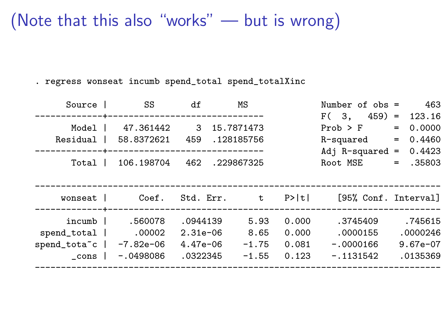#### (Note that this also "works" — but is wrong)

. regress wonseat incumb spend\_total spend\_totalXinc

| Source                   | SS                             | df           | МS         |         | Number of $obs =$    |     | 463        |
|--------------------------|--------------------------------|--------------|------------|---------|----------------------|-----|------------|
|                          |                                |              |            |         | $459$ =<br>F ( 3.    |     | 123.16     |
| Model                    | 47.361442                      | $\mathbf{3}$ | 15.7871473 |         | $Prob$ > $F$         | $=$ | 0.0000     |
| Residual                 | 58.8372621                     | 459          | .128185756 |         | R-squared            | $=$ | 0.4460     |
|                          | ------------------------------ |              |            |         | Adj $R$ -squared =   |     | 0.4423     |
| Total I                  | 106.198704                     | 462          | .229867325 |         | Root MSE             | $=$ | .35803     |
|                          |                                |              |            |         |                      |     |            |
|                          |                                |              |            |         |                      |     |            |
| wonseat I                | Coef.                          | Std. Err. t  |            | $P>$  t | [95% Conf. Interval] |     |            |
|                          |                                |              |            |         |                      |     |            |
| incumb                   | .560078                        | .0944139     |            |         |                      |     |            |
|                          |                                |              | 5.93       | 0.000   | .3745409             |     | .745615    |
| spend_total              | .00002                         | $2.31e-06$   | 8.65       | 0.000   | .0000155             |     | .0000246   |
| spend_tota <sup>"c</sup> | $-7.82e-06$                    | $4.47e-06$   | $-1.75$    | 0.081   | $-.0000166$          |     | $9.67e-07$ |
| cons                     | $-.0498086$                    | .0322345     | $-1.55$    | 0.123   | $-.1131542$          |     | .0135369   |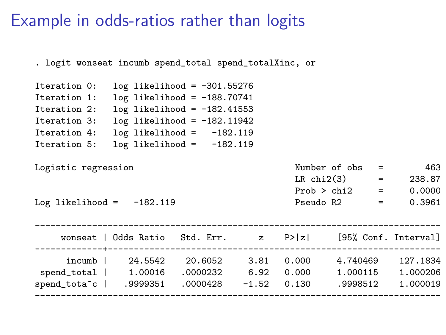#### Example in odds-ratios rather than logits

| . logit wonseat incumb spend_total spend_totalXinc, or |                                                              |  |                    |  |                   |  |          |  |
|--------------------------------------------------------|--------------------------------------------------------------|--|--------------------|--|-------------------|--|----------|--|
| Iteration 0:                                           | $log$ likelihood = -301.55276                                |  |                    |  |                   |  |          |  |
| Iteration 1:                                           | $log$ likelihood = -188.70741                                |  |                    |  |                   |  |          |  |
| Iteration 2:                                           | $log$ likelihood = -182.41553                                |  |                    |  |                   |  |          |  |
| Iteration 3:                                           | $log$ likelihood = $-182.11942$                              |  |                    |  |                   |  |          |  |
| Iteration 4:                                           | $log$ likelihood = $-182.119$                                |  |                    |  |                   |  |          |  |
| Iteration 5:                                           | $log$ likelihood = $-182.119$                                |  |                    |  |                   |  |          |  |
|                                                        |                                                              |  |                    |  |                   |  |          |  |
| Logistic regression                                    |                                                              |  |                    |  | Number of $obs =$ |  | 463      |  |
|                                                        |                                                              |  |                    |  | $LR chi2(3) =$    |  | 238.87   |  |
|                                                        |                                                              |  |                    |  | $Prob > chi2 =$   |  | 0.0000   |  |
| Log likelihood = $-182.119$                            |                                                              |  |                    |  | $Pseudo R2 =$     |  | 0.3961   |  |
|                                                        |                                                              |  |                    |  |                   |  |          |  |
|                                                        |                                                              |  |                    |  |                   |  |          |  |
|                                                        | wonseat   Odds Ratio Std. Err. z P> z  [95%, Conf. Interval] |  |                    |  |                   |  |          |  |
| ----------------------------------                     |                                                              |  | ------------------ |  |                   |  |          |  |
|                                                        | $incumb$ 24.5542 20.6052 3.81 0.000 4.740469                 |  |                    |  |                   |  | 127.1834 |  |
| spend_total   1.00016 .0000232 6.92 0.000 1.000115     |                                                              |  |                    |  |                   |  | 1.000206 |  |
| spend_tota~c   .9999351 .0000428 -1.52 0.130 .9998512  |                                                              |  |                    |  |                   |  | 1.000019 |  |
|                                                        |                                                              |  |                    |  |                   |  |          |  |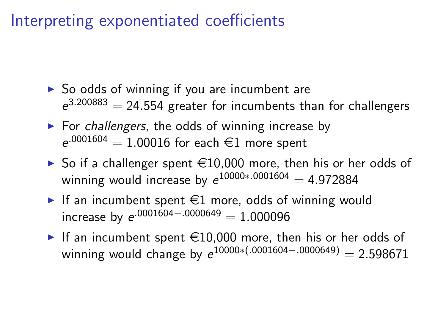#### Interpreting exponentiated coefficients

- $\triangleright$  So odds of winning if you are incumbent are  $e^{3.200883} = 24.554$  greater for incumbents than for challengers
- $\triangleright$  For challengers, the odds of winning increase by  $e^{.0001604} = 1.00016$  for each  $\in$ 1 more spent
- $\triangleright$  So if a challenger spent  $\in$ 10,000 more, then his or her odds of winning would increase by  $e^{10000*.0001604} = 4.972884$
- If an incumbent spent  $\epsilon$ 1 more, odds of winning would  $\text{increase by } \text{e}^{\cdot 0001604 - \cdot 0000649} = 1.000096$
- If an incumbent spent  $\in$ 10,000 more, then his or her odds of winning would change by  $e^{10000*(-0001604-.0000649)} = 2.598671$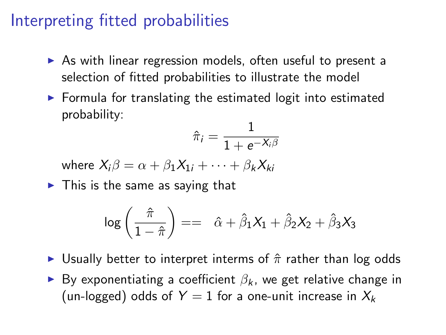#### Interpreting fitted probabilities

- $\triangleright$  As with linear regression models, often useful to present a selection of fitted probabilities to illustrate the model
- $\triangleright$  Formula for translating the estimated logit into estimated probability:

$$
\hat{\pi}_i = \frac{1}{1+e^{-X_i\beta}}
$$

where  $X_i \beta = \alpha + \beta_1 X_{1i} + \cdots + \beta_k X_{ki}$ 

 $\blacktriangleright$  This is the same as saying that

$$
\log\left(\frac{\hat{\pi}}{1-\hat{\pi}}\right) = \hat{\alpha} + \hat{\beta}_1 X_1 + \hat{\beta}_2 X_2 + \hat{\beta}_3 X_3
$$

- In Usually better to interpret interms of  $\hat{\pi}$  rather than log odds
- ► By exponentiating a coefficient  $\beta_k$ , we get relative change in (un-logged) odds of  $Y = 1$  for a one-unit increase in  $X_k$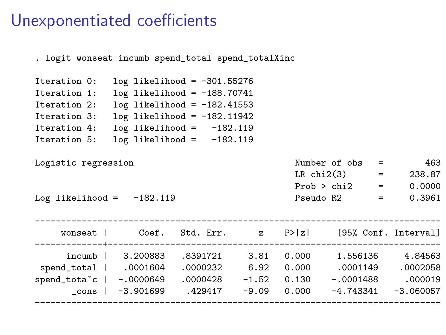#### Unexponentiated coefficients

| $log$ likelihood = -301.55276<br>Iteration 0:<br>$log$ likelihood = $-188.70741$<br>Iteration 1:<br>Iteration 2: $log$ likelihood = -182.41553<br>Iteration 3: $log$ likelihood = -182.11942<br>$log$ likelihood = $-182.119$<br>Iteration 4: |
|-----------------------------------------------------------------------------------------------------------------------------------------------------------------------------------------------------------------------------------------------|
|                                                                                                                                                                                                                                               |
|                                                                                                                                                                                                                                               |
|                                                                                                                                                                                                                                               |
|                                                                                                                                                                                                                                               |
|                                                                                                                                                                                                                                               |
| $log$ likelihood = $-182.119$<br>Iteration 5:                                                                                                                                                                                                 |
|                                                                                                                                                                                                                                               |
| Number of $obs = 463$<br>Logistic regression                                                                                                                                                                                                  |
| LR $chi2(3)$ = 238.87                                                                                                                                                                                                                         |
| $Prob > chi2 = 0.0000$                                                                                                                                                                                                                        |
| Pseudo R2 = $0.3961$<br>Log likelihood = $-182.119$                                                                                                                                                                                           |
|                                                                                                                                                                                                                                               |
|                                                                                                                                                                                                                                               |
| wonseat   Coef. Std. Err. z P> z  [95% Conf. Interval]                                                                                                                                                                                        |
| incumb   3.200883 .8391721 3.81 0.000 1.556136 4.84563                                                                                                                                                                                        |
| 0002058. 0001149 0001604 0000232 6.92 0.000 0001149 0002058                                                                                                                                                                                   |
| 000019. spend_tota~c   -.0000649 .0000428 -1.52 0.130 -.0001488                                                                                                                                                                               |
| $_{\rm \sim}$ cons   -3.901699 .429417 -9.09 0.000 -4.743341 -3.060057                                                                                                                                                                        |
|                                                                                                                                                                                                                                               |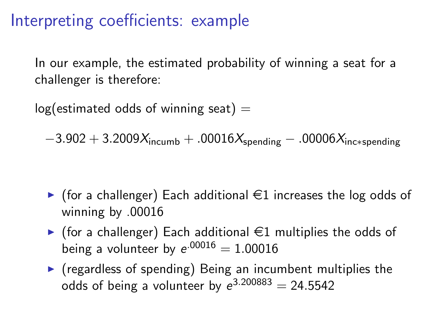#### Interpreting coefficients: example

In our example, the estimated probability of winning a seat for a challenger is therefore:

 $log($  estimated odds of winning seat)  $=$ 

 $-3.902 + 3.2009X_{\text{incumb}} + .00016X_{\text{spending}} - .00006X_{\text{inc}*\text{spending}}$ 

- $\triangleright$  (for a challenger) Each additional  $\in$ 1 increases the log odds of winning by .00016
- $\blacktriangleright$  (for a challenger) Each additional  $\in$ 1 multiplies the odds of being a volunteer by  $e^{.00016} = 1.00016$
- $\triangleright$  (regardless of spending) Being an incumbent multiplies the odds of being a volunteer by  $e^{3.200883} = 24.5542$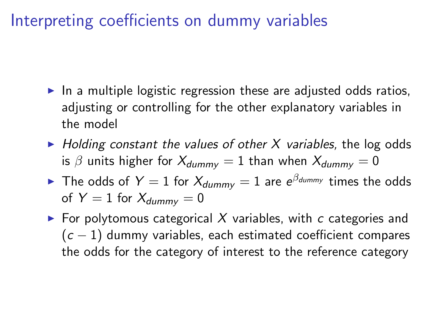#### Interpreting coefficients on dummy variables

- $\triangleright$  In a multiple logistic regression these are adjusted odds ratios, adjusting or controlling for the other explanatory variables in the model
- $\blacktriangleright$  Holding constant the values of other X variables, the log odds is  $\beta$  units higher for  $X_{dummy} = 1$  than when  $X_{dummy} = 0$
- $\blacktriangleright$  The odds of  $Y=1$  for  $X_{dummy}=1$  are  $e^{\beta_{dummy}}$  times the odds of  $Y = 1$  for  $X_{\text{dummy}} = 0$
- $\triangleright$  For polytomous categorical X variables, with c categories and  $(c - 1)$  dummy variables, each estimated coefficient compares the odds for the category of interest to the reference category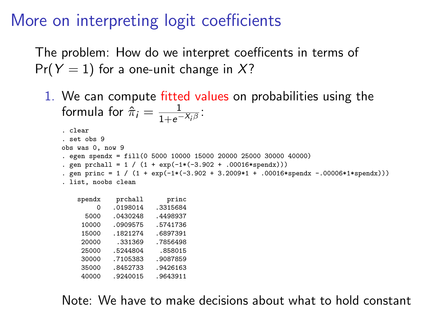#### More on interpreting logit coefficients

40000 .9240015 .9643911

The problem: How do we interpret coefficents in terms of  $Pr(Y = 1)$  for a one-unit change in X?

1. We can compute fitted values on probabilities using the formula for  $\hat{\pi}_i = \frac{1}{1+e^{-i}}$  $\frac{1}{1+e^{-X_i\beta}}$ :

```
. clear
. set obs 9
obs was 0, now 9
. egen spendx = fill(0 5000 10000 15000 20000 25000 30000 40000)
. gen prchall = 1 / (1 + \exp(-1*(-3.902 + .00016*\text{spend}))). gen princ = 1 / (1 + \exp(-1*(-3.902 + 3.2009*1 + .00016* \text{sendx} - .00006*1*\text{sendx}))). list, noobs clean
    spendx prchall princ
         0 .0198014 .3315684
      5000 .0430248 .4498937
     10000 .0909575 .5741736
           1821274
     7856498. 20000 .331369<br>25000 .5244804 .858015
     25000 .5244804
     30000 .7105383 .9087859
     35000 .8452733 .9426163
```
Note: We have to make decisions about what to hold constant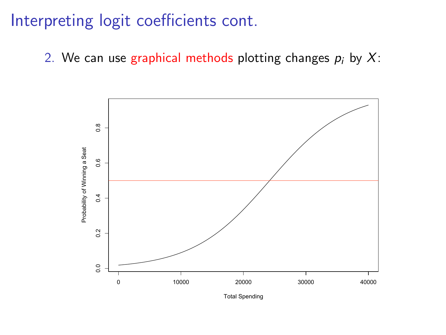2. We can use graphical methods plotting changes  $p_i$  by X:

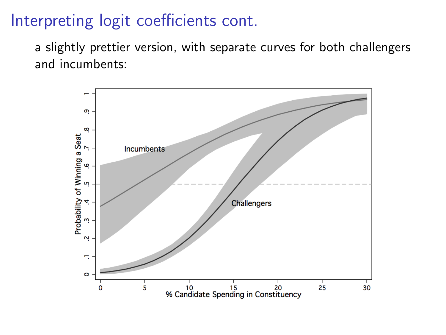a slightly prettier version, with separate curves for both challengers and incumbents:

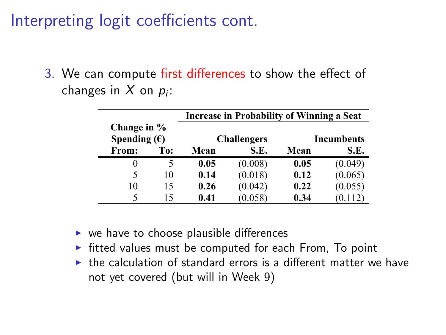3. We can compute first differences to show the effect of changes in X on  $p_i$ : (King, Tomz and Wittenberg 2000).

|                       |     | Increase in Probability of Winning a Seat |                    |      |                   |  |
|-----------------------|-----|-------------------------------------------|--------------------|------|-------------------|--|
| Change in %           |     |                                           |                    |      |                   |  |
| Spending $(\epsilon)$ |     |                                           | <b>Challengers</b> |      | <b>Incumbents</b> |  |
| From:                 | To: | Mean                                      | S.E.               | Mean | S.E.              |  |
| $_{0}$                |     | 0.05                                      | (0.008)            | 0.05 | (0.049)           |  |
| 5                     | 10  | 0.14                                      | (0.018)            | 0.12 | (0.065)           |  |
| 10                    | 15  | 0.26                                      | (0.042)            | 0.22 | (0.055)           |  |
| 5                     | 15  | 0.41                                      | (0.058)            | 0.34 | (0.112)           |  |

- $\triangleright$  we have to choose plausible differences
- $\triangleright$  fitted values must be computed for each From, To point
- $\triangleright$  the calculation of standard errors is a different matter we have not yet covered (but will in Week 9)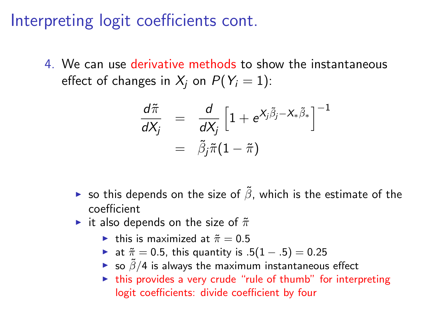4. We can use derivative methods to show the instantaneous effect of changes in  $X_i$  on  $P(Y_i = 1)$ :

$$
\frac{d\tilde{\pi}}{dX_j} = \frac{d}{dX_j} \left[ 1 + e^{X_j \tilde{\beta}_j - X_* \tilde{\beta}_*} \right]^{-1}
$$

$$
= \tilde{\beta}_j \tilde{\pi} (1 - \tilde{\pi})
$$

- ► so this depends on the size of  $\tilde{\beta}$ , which is the estimate of the coefficient
- it also depends on the size of  $\tilde{\pi}$ 
	- In this is maximized at  $\tilde{\pi} = 0.5$
	- $\triangleright$  at  $\tilde{\pi} = 0.5$ , this quantity is  $.5(1-.5) = 0.25$
	- ► so  $\tilde{\beta}/4$  is always the maximum instantaneous effect
	- $\blacktriangleright$  this provides a very crude "rule of thumb" for interpreting logit coefficients: divide coefficient by four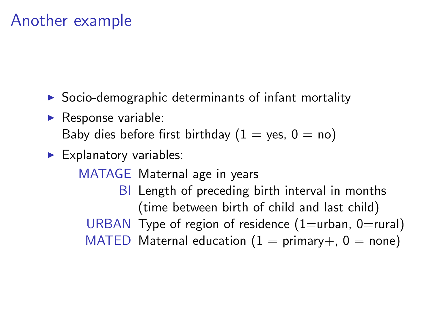#### Another example

- $\triangleright$  Socio-demographic determinants of infant mortality
- $\blacktriangleright$  Response variable:

Baby dies before first birthday  $(1 = \text{ves}, 0 = \text{no})$ 

 $\blacktriangleright$  Explanatory variables:

MATAGE Maternal age in years BI Length of preceding birth interval in months (time between birth of child and last child) URBAN Type of region of residence  $(1=urban, 0=rural)$ MATED Maternal education  $(1 = \text{primary} + 0 = \text{none})$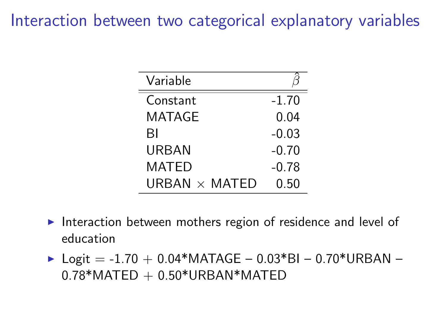#### Interaction between two categorical explanatory variables

| Variable             |         |
|----------------------|---------|
| Constant             | $-1.70$ |
| <b>MATAGE</b>        | 0.04    |
| ΒI                   | $-0.03$ |
| URBAN                | $-0.70$ |
| MATED                | $-0.78$ |
| URBAN $\times$ MATED | 0 50    |

- Interaction between mothers region of residence and level of education
- $\blacktriangleright$  Logit = -1.70 + 0.04\*MATAGE 0.03\*BI 0.70\*URBAN  $0.78*$ MATED  $+ 0.50*$ URBAN $*$ MATED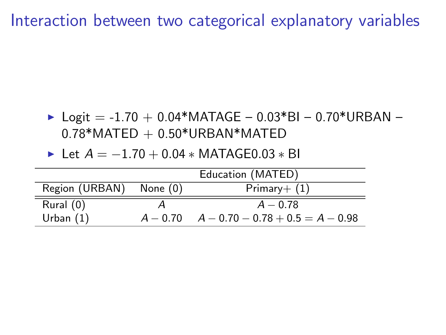Interaction between two categorical explanatory variables

- $\triangleright$  Logit = -1.70 + 0.04\*MATAGE 0.03\*BI 0.70\*URBAN  $0.78*$ MATED  $+ 0.50*$ URBAN $*$ MATED
- $\triangleright$  Let  $A = -1.70 + 0.04 * \text{MATAGE}0.03 * \text{BI}$

|                         | Education (MATED)                             |
|-------------------------|-----------------------------------------------|
| Region (URBAN) None (0) | $Primary+ (1)$                                |
| Rural (0)               | $A - 0.78$                                    |
| Urban $(1)$             | $A - 0.70$ $A - 0.70 - 0.78 + 0.5 = A - 0.98$ |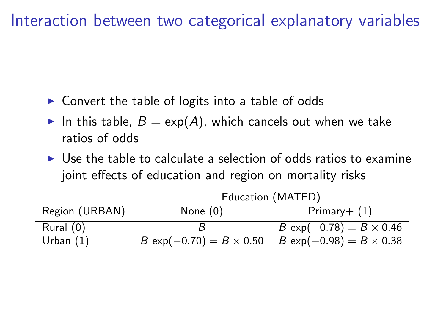Interaction between two categorical explanatory variables

- $\triangleright$  Convert the table of logits into a table of odds
- In this table,  $B = \exp(A)$ , which cancels out when we take ratios of odds
- $\triangleright$  Use the table to calculate a selection of odds ratios to examine joint effects of education and region on mortality risks

|                | Education (MATED)               |                                 |  |  |  |  |
|----------------|---------------------------------|---------------------------------|--|--|--|--|
| Region (URBAN) | None $(0)$                      | $Primary+ (1)$                  |  |  |  |  |
| Rural (0)      |                                 | $B \exp(-0.78) = B \times 0.46$ |  |  |  |  |
| Urban $(1)$    | $B \exp(-0.70) = B \times 0.50$ | $B \exp(-0.98) = B \times 0.38$ |  |  |  |  |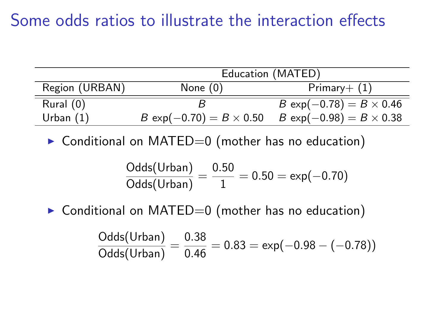#### Some odds ratios to illustrate the interaction effects

|                | Education (MATED)               |                                 |  |  |
|----------------|---------------------------------|---------------------------------|--|--|
| Region (URBAN) | None $(0)$                      | $Primary+ (1)$                  |  |  |
| Rural (0)      |                                 | $B \exp(-0.78) = B \times 0.46$ |  |  |
| Urban $(1)$    | $B \exp(-0.70) = B \times 0.50$ | $B \exp(-0.98) = B \times 0.38$ |  |  |

 $\triangleright$  Conditional on MATED=0 (mother has no education)

$$
\frac{\text{Odds}(\text{Urban})}{\text{Odds}(\text{Urban})} = \frac{0.50}{1} = 0.50 = \exp(-0.70)
$$

 $\triangleright$  Conditional on MATED=0 (mother has no education)

$$
\frac{\text{Odds}(\text{Urban})}{\text{Odds}(\text{Urban})} = \frac{0.38}{0.46} = 0.83 = \exp(-0.98 - (-0.78))
$$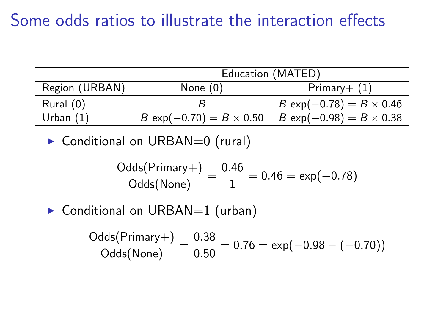#### Some odds ratios to illustrate the interaction effects

|                | Education (MATED)               |                                 |  |  |
|----------------|---------------------------------|---------------------------------|--|--|
| Region (URBAN) | None $(0)$                      | $Primary+ (1)$                  |  |  |
| Rural (0)      |                                 | $B \exp(-0.78) = B \times 0.46$ |  |  |
| Urban $(1)$    | $B \exp(-0.70) = B \times 0.50$ | $B \exp(-0.98) = B \times 0.38$ |  |  |

 $\triangleright$  Conditional on URBAN=0 (rural)

$$
\frac{\text{Odds}(\text{Primary+})}{\text{Odds}(\text{None})} = \frac{0.46}{1} = 0.46 = \exp(-0.78)
$$

 $\triangleright$  Conditional on URBAN=1 (urban)

$$
\frac{\text{Odds}(\text{Primary+})}{\text{Odds}(\text{None})} = \frac{0.38}{0.50} = 0.76 = \exp(-0.98 - (-0.70))
$$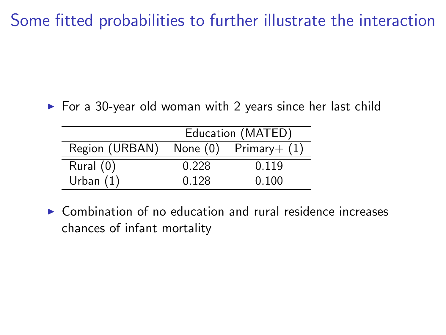Some fitted probabilities to further illustrate the interaction

 $\triangleright$  For a 30-year old woman with 2 years since her last child

|                | Education (MATED) |                 |  |  |
|----------------|-------------------|-----------------|--|--|
| Region (URBAN) | None (0)          | $Primary + (1)$ |  |  |
| Rural $(0)$    | 0.228             | 0.119           |  |  |
| Urban $(1)$    | 0.128             | 0.100           |  |  |

 $\triangleright$  Combination of no education and rural residence increases chances of infant mortality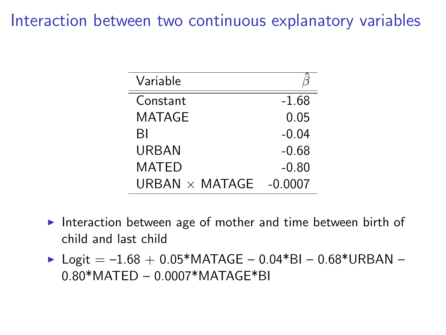#### Interaction between two continuous explanatory variables

| Variable              |           |
|-----------------------|-----------|
| Constant              | $-1.68$   |
| MATAGE                | 0.05      |
| ВI                    | $-0.04$   |
| URBAN                 | $-0.68$   |
| MATED                 | $-0.80$   |
| URBAN $\times$ MATAGE | $-0.0007$ |

- Interaction between age of mother and time between birth of child and last child
- ▶ Logit =  $-1.68 + 0.05*$ MATAGE 0.04\*BI 0.68\*URBAN -0.80\*MATED – 0.0007\*MATAGE\*BI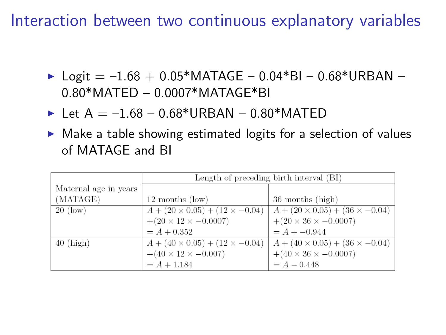Interaction between two continuous explanatory variables

- $\triangleright$  Logit = -1.68 + 0.05\*MATAGE 0.04\*BI 0.68\*URBAN 0.80\*MATED – 0.0007\*MATAGE\*BI
- $I$  Let A = -1.68 0.68\*URBAN 0.80\*MATED
- $\triangleright$  Make a table showing estimated logits for a selection of values of MATAGE and BI

|                       | Length of preceding birth interval (BI)    |                                            |  |  |
|-----------------------|--------------------------------------------|--------------------------------------------|--|--|
| Maternal age in years |                                            |                                            |  |  |
| (MATAGE)              | $12$ months $(low)$                        | 36 months (high)                           |  |  |
| $20 \text{ (low)}$    | $A + (20 \times 0.05) + (12 \times -0.04)$ | $A + (20 \times 0.05) + (36 \times -0.04)$ |  |  |
|                       | $+(20 \times 12 \times -0.0007)$           | $+(20 \times 36 \times -0.0007)$           |  |  |
|                       | $= A + 0.352$                              | $= A + -0.944$                             |  |  |
| $40$ (high)           | $A + (40 \times 0.05) + (12 \times -0.04)$ | $A + (40 \times 0.05) + (36 \times -0.04)$ |  |  |
|                       | $+(40 \times 12 \times -0.007)$            | $+(40 \times 36 \times -0.0007)$           |  |  |
|                       | $= A + 1.184$                              | $= A - 0.448$                              |  |  |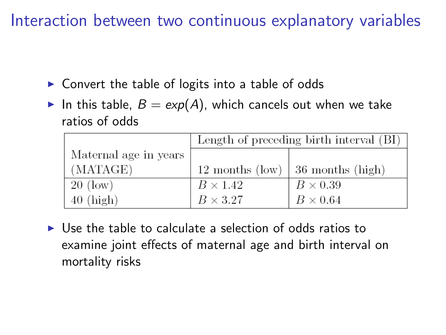Interaction between two continuous explanatory variables

- $\triangleright$  Convert the table of logits into a table of odds
- In this table,  $B = exp(A)$ , which cancels out when we take ratios of odds

|                       | Length of preceding birth interval (BI) |                                          |  |
|-----------------------|-----------------------------------------|------------------------------------------|--|
| Maternal age in years |                                         |                                          |  |
| (MATAGE)              |                                         | 12 months (low) $\vert$ 36 months (high) |  |
| $20 \text{ (low)}$    | $B \times 1.42$                         | $B \times 0.39$                          |  |
| $40$ (high)           | $B \times 3.27$                         | $B \times 0.64$                          |  |

 $\triangleright$  Use the table to calculate a selection of odds ratios to examine joint effects of maternal age and birth interval on mortality risks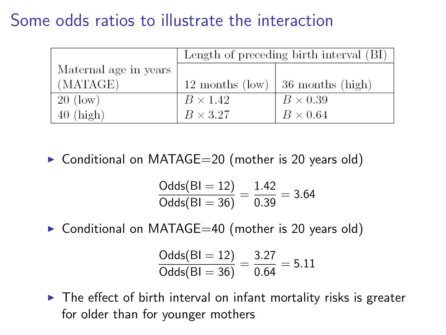#### Some odds ratios to illustrate the interaction

|                       | Length of preceding birth interval (BI) |                  |  |
|-----------------------|-----------------------------------------|------------------|--|
| Maternal age in years |                                         |                  |  |
| (MATAGE)              | $12$ months $(low)$                     | 36 months (high) |  |
| $20 \text{ (low)}$    | $B \times 1.42$                         | $B \times 0.39$  |  |
| $40$ (high)           | $B \times 3.27$                         | $B \times 0.64$  |  |

 $\triangleright$  Conditional on MATAGE=20 (mother is 20 years old)

$$
\frac{\text{Odds(BI = 12)}}{\text{Odds(BI = 36)}} = \frac{1.42}{0.39} = 3.64
$$

 $\triangleright$  Conditional on MATAGE=40 (mother is 20 years old)

$$
\frac{\text{Odds(BI = 12)}}{\text{Odds(BI = 36)}} = \frac{3.27}{0.64} = 5.11
$$

 $\triangleright$  The effect of birth interval on infant mortality risks is greater for older than for younger mothers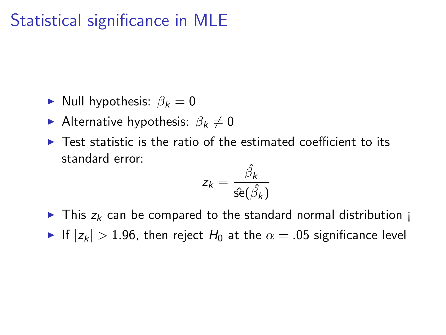## Statistical significance in MLE

- Null hypothesis:  $\beta_k = 0$
- Alternative hypothesis:  $\beta_k \neq 0$
- $\triangleright$  Test statistic is the ratio of the estimated coefficient to its standard error:

$$
z_k = \frac{\hat{\beta}_k}{\hat{\mathsf{se}}(\hat{\beta}_k)}
$$

 $\triangleright$  This  $z_k$  can be compared to the standard normal distribution i If  $|z_k| > 1.96$ , then reject  $H_0$  at the  $\alpha = .05$  significance level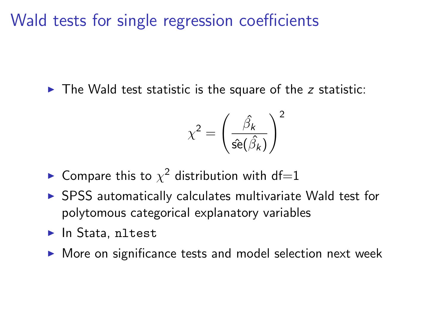Wald tests for single regression coefficients

 $\triangleright$  The Wald test statistic is the square of the z statistic:

$$
\chi^2 = \left(\frac{\hat{\beta}_k}{\hat{\text{se}}(\hat{\beta}_k)}\right)^2
$$

 $\blacktriangleright$  Compare this to  $\chi^2$  distribution with df=1

- $\triangleright$  SPSS automatically calculates multivariate Wald test for polytomous categorical explanatory variables
- $\blacktriangleright$  In Stata, nltest
- $\triangleright$  More on significance tests and model selection next week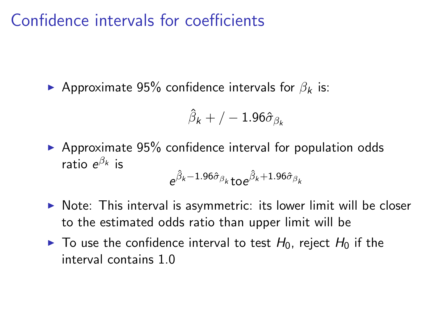#### Confidence intervals for coefficients

Approximate 95% confidence intervals for  $\beta_k$  is:

$$
\hat{\beta}_k+/-1.96\hat{\sigma}_{\beta_k}
$$

 $\triangleright$  Approximate 95% confidence interval for population odds ratio  $e^{\beta_k}$  is

$$
e^{\hat{\beta}_k-1.96\hat{\sigma}_{\beta_k}}\text{to} e^{\hat{\beta}_k+1.96\hat{\sigma}_{\beta_k}}
$$

- $\triangleright$  Note: This interval is asymmetric: its lower limit will be closer to the estimated odds ratio than upper limit will be
- $\blacktriangleright$  To use the confidence interval to test  $H_0$ , reject  $H_0$  if the interval contains 1.0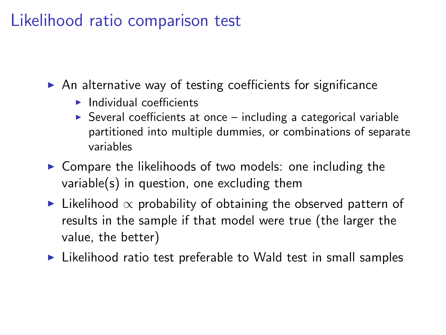#### Likelihood ratio comparison test

- $\triangleright$  An alternative way of testing coefficients for significance
	- $\blacktriangleright$  Individual coefficients
	- $\triangleright$  Several coefficients at once including a categorical variable partitioned into multiple dummies, or combinations of separate variables
- $\triangleright$  Compare the likelihoods of two models: one including the variable(s) in question, one excluding them
- $\blacktriangleright$  Likelihood  $\propto$  probability of obtaining the observed pattern of results in the sample if that model were true (the larger the value, the better)
- $\triangleright$  Likelihood ratio test preferable to Wald test in small samples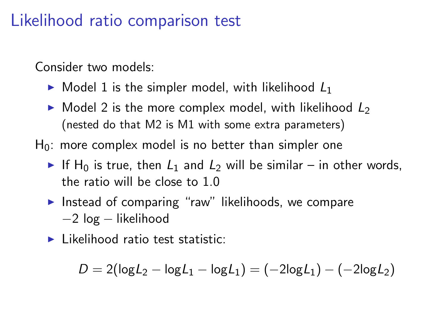#### Likelihood ratio comparison test

Consider two models:

- $\triangleright$  Model 1 is the simpler model, with likelihood  $L_1$
- $\triangleright$  Model 2 is the more complex model, with likelihood  $L_2$ (nested do that M2 is M1 with some extra parameters)
- $H_0$ : more complex model is no better than simpler one
	- If H<sub>0</sub> is true, then  $L_1$  and  $L_2$  will be similar in other words, the ratio will be close to 1.0
	- Instead of comparing "raw" likelihoods, we compare −2 log − likelihood
	- $\blacktriangleright$  Likelihood ratio test statistic:

$$
D = 2(\log L_2 - \log L_1 - \log L_1) = (-2\log L_1) - (-2\log L_2)
$$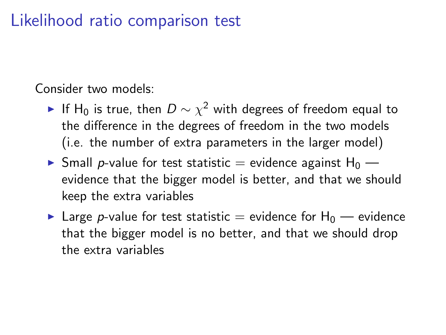#### Likelihood ratio comparison test

Consider two models:

- ► If H $_0$  is true, then  $D\sim \chi^2$  with degrees of freedom equal to the difference in the degrees of freedom in the two models (i.e. the number of extra parameters in the larger model)
- $\triangleright$  Small p-value for test statistic = evidence against H<sub>0</sub> evidence that the bigger model is better, and that we should keep the extra variables
- **In Large p-value for test statistic = evidence for H<sub>0</sub> evidence** that the bigger model is no better, and that we should drop the extra variables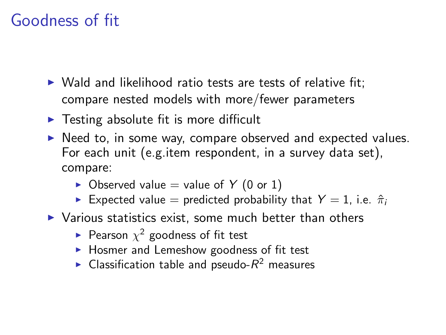#### Goodness of fit

- $\triangleright$  Wald and likelihood ratio tests are tests of relative fit: compare nested models with more/fewer parameters
- $\triangleright$  Testing absolute fit is more difficult
- $\triangleright$  Need to, in some way, compare observed and expected values. For each unit (e.g.item respondent, in a survey data set), compare:
	- $\triangleright$  Observed value = value of Y (0 or 1)
	- Expected value = predicted probability that  $Y = 1$ , i.e.  $\hat{\pi}_i$
- $\triangleright$  Various statistics exist, some much better than others
	- $\blacktriangleright$  Pearson  $\chi^2$  goodness of fit test
	- $\blacktriangleright$  Hosmer and Lemeshow goodness of fit test
	- $\blacktriangleright$  Classification table and pseudo- $R^2$  measures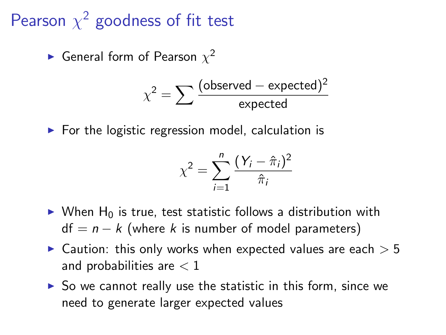## Pearson  $\chi^2$  goodness of fit test

 $\blacktriangleright$  General form of Pearson  $\chi^2$ 

$$
\chi^2 = \sum \frac{\text{(observed - expected)}^2}{\text{expected}}
$$

 $\triangleright$  For the logistic regression model, calculation is

$$
\chi^2 = \sum_{i=1}^n \frac{(Y_i - \hat{\pi}_i)^2}{\hat{\pi}_i}
$$

- $\triangleright$  When H<sub>0</sub> is true, test statistic follows a distribution with  $df = n - k$  (where k is number of model parameters)
- $\triangleright$  Caution: this only works when expected values are each  $> 5$ and probabilities are  $< 1$
- $\triangleright$  So we cannot really use the statistic in this form, since we need to generate larger expected values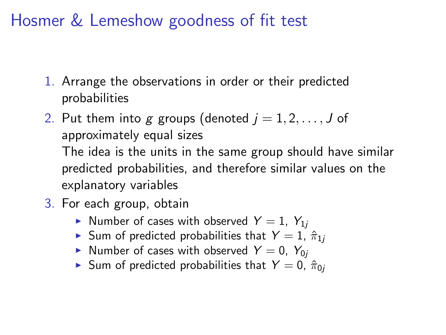Hosmer & Lemeshow goodness of fit test

- 1. Arrange the observations in order or their predicted probabilities
- 2. Put them into g groups (denoted  $j = 1, 2, \ldots, J$  of approximately equal sizes The idea is the units in the same group should have similar predicted probabilities, and therefore similar values on the explanatory variables
- 3. For each group, obtain
	- In Number of cases with observed  $Y = 1$ ,  $Y_{1i}$
	- Sum of predicted probabilities that  $Y = 1$ ,  $\hat{\pi}_{1i}$
	- In Number of cases with observed  $Y = 0$ ,  $Y_{0j}$
	- ► Sum of predicted probabilities that  $Y = 0$ ,  $\hat{\pi}_{0i}$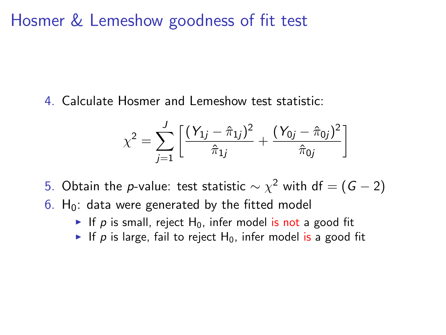Hosmer & Lemeshow goodness of fit test

4. Calculate Hosmer and Lemeshow test statistic:

$$
\chi^{2} = \sum_{j=1}^{J} \left[ \frac{(Y_{1j} - \hat{\pi}_{1j})^{2}}{\hat{\pi}_{1j}} + \frac{(Y_{0j} - \hat{\pi}_{0j})^{2}}{\hat{\pi}_{0j}} \right]
$$

5. Obtain the  $p$ -value: test statistic  $\sim \chi^2$  with df  $=(G-2)$  $6.$  H<sub>0</sub>: data were generated by the fitted model

- If p is small, reject  $H_0$ , infer model is not a good fit
- If p is large, fail to reject  $H_0$ , infer model is a good fit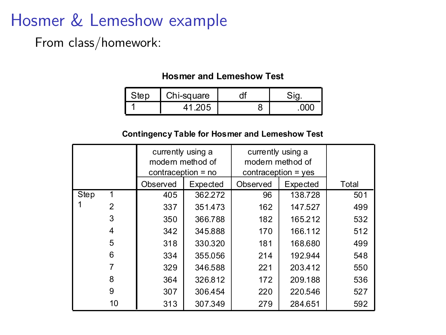#### Hosmer & Lemeshow example

From class/homework:

#### **Hosmer and Lemeshow Test**

| square<br>$-11-9$ |  |  |
|-------------------|--|--|
|                   |  |  |

#### **Contingency Table for Hosmer and Lemeshow Test**

|      |    | currently using a<br>modern method of<br>contraception = no |          | currently using a<br>modern method of<br>$contraception = yes$ |          |       |
|------|----|-------------------------------------------------------------|----------|----------------------------------------------------------------|----------|-------|
|      |    | Observed                                                    | Expected | Observed                                                       | Expected | Total |
| Step |    | 405                                                         | 362.272  | 96                                                             | 138.728  | 501   |
|      | 2  | 337                                                         | 351.473  | 162                                                            | 147.527  | 499   |
|      | 3  | 350                                                         | 366.788  | 182                                                            | 165.212  | 532   |
|      | 4  | 342                                                         | 345.888  | 170                                                            | 166.112  | 512   |
|      | 5  | 318                                                         | 330.320  | 181                                                            | 168.680  | 499   |
|      | 6  | 334                                                         | 355.056  | 214                                                            | 192.944  | 548   |
|      |    | 329                                                         | 346.588  | 221                                                            | 203.412  | 550   |
|      | 8  | 364                                                         | 326.812  | 172                                                            | 209.188  | 536   |
|      | 9  | 307                                                         | 306.454  | 220                                                            | 220.546  | 527   |
|      | 10 | 313                                                         | 307.349  | 279                                                            | 284.651  | 592   |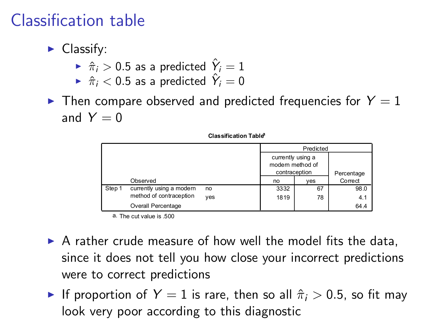## Classification table

- $\blacktriangleright$  Classify:
	- $\hat{\pi}_i > 0.5$  as a predicted  $\hat{Y}_i = 1$
	- $\blacktriangleright$   $\hat{\pi}_i < 0.5$  as a predicted  $\hat{Y}_i = 0$
- $\blacktriangleright$  Then compare observed and predicted frequencies for  $Y = 1$ and  $Y = 0$

|        |                          |                                                        | Predicted |            |         |
|--------|--------------------------|--------------------------------------------------------|-----------|------------|---------|
|        |                          | currently using a<br>modern method of<br>contraception |           | Percentage |         |
|        | Observed                 |                                                        | no        | ves        | Correct |
| Step 1 | currently using a modern | no                                                     | 3332      | 67         | 98.0    |
|        | method of contraception  | ves                                                    | 1819      | 78         | 4.1     |
|        | Overall Percentage       |                                                        |           |            | 64.4    |

**Classification Tablea**

a. The cut value is .500

- $\triangleright$  A rather crude measure of how well the model fits the data, since it does not tell you how close your incorrect predictions were to correct predictions
- If proportion of  $Y = 1$  is rare, then so all  $\hat{\pi}_i > 0.5$ , so fit may look very poor according to this diagnostic